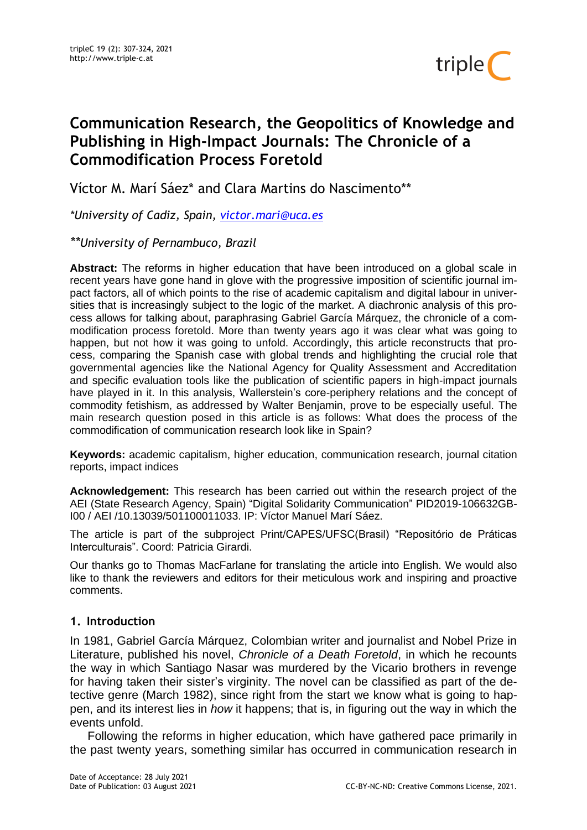

# **Communication Research, the Geopolitics of Knowledge and Publishing in High-Impact Journals: The Chronicle of a Commodification Process Foretold**

Víctor M. Marí Sáez\* and Clara Martins do Nascimento\*\*

*\*University of Cadiz, Spain, [victor.mari@uca.es](mailto:victor.mari@uca.es)*

*\*\*University of Pernambuco, Brazil*

**Abstract:** The reforms in higher education that have been introduced on a global scale in recent years have gone hand in glove with the progressive imposition of scientific journal impact factors, all of which points to the rise of academic capitalism and digital labour in universities that is increasingly subject to the logic of the market. A diachronic analysis of this process allows for talking about, paraphrasing Gabriel García Márquez, the chronicle of a commodification process foretold. More than twenty years ago it was clear what was going to happen, but not how it was going to unfold. Accordingly, this article reconstructs that process, comparing the Spanish case with global trends and highlighting the crucial role that governmental agencies like the National Agency for Quality Assessment and Accreditation and specific evaluation tools like the publication of scientific papers in high-impact journals have played in it. In this analysis, Wallerstein's core-periphery relations and the concept of commodity fetishism, as addressed by Walter Benjamin, prove to be especially useful. The main research question posed in this article is as follows: What does the process of the commodification of communication research look like in Spain?

**Keywords:** academic capitalism, higher education, communication research, journal citation reports, impact indices

**Acknowledgement:** This research has been carried out within the research project of the AEI (State Research Agency, Spain) "Digital Solidarity Communication" PID2019-106632GB-I00 / AEI /10.13039/501100011033. IP: Víctor Manuel Marí Sáez.

The article is part of the subproject Print/CAPES/UFSC(Brasil) "Repositório de Práticas Interculturais". Coord: Patricia Girardi.

Our thanks go to Thomas MacFarlane for translating the article into English. We would also like to thank the reviewers and editors for their meticulous work and inspiring and proactive comments.

### **1. Introduction**

In 1981, Gabriel García Márquez, Colombian writer and journalist and Nobel Prize in Literature, published his novel, *Chronicle of a Death Foretold*, in which he recounts the way in which Santiago Nasar was murdered by the Vicario brothers in revenge for having taken their sister's virginity. The novel can be classified as part of the detective genre (March 1982), since right from the start we know what is going to happen, and its interest lies in *how* it happens; that is, in figuring out the way in which the events unfold.

Following the reforms in higher education, which have gathered pace primarily in the past twenty years, something similar has occurred in communication research in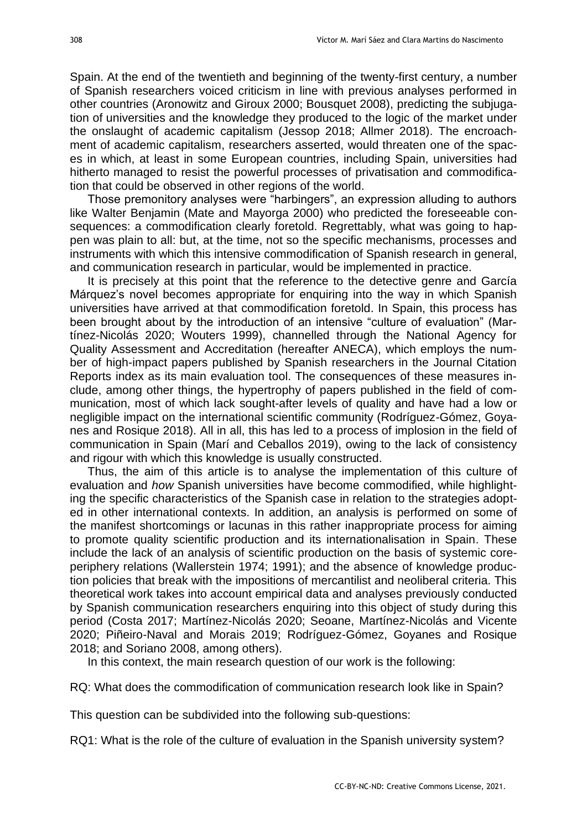Spain. At the end of the twentieth and beginning of the twenty-first century, a number of Spanish researchers voiced criticism in line with previous analyses performed in other countries (Aronowitz and Giroux 2000; Bousquet 2008), predicting the subjugation of universities and the knowledge they produced to the logic of the market under the onslaught of academic capitalism (Jessop 2018; Allmer 2018). The encroachment of academic capitalism, researchers asserted, would threaten one of the spaces in which, at least in some European countries, including Spain, universities had hitherto managed to resist the powerful processes of privatisation and commodification that could be observed in other regions of the world.

Those premonitory analyses were "harbingers", an expression alluding to authors like Walter Benjamin (Mate and Mayorga 2000) who predicted the foreseeable consequences: a commodification clearly foretold. Regrettably, what was going to happen was plain to all: but, at the time, not so the specific mechanisms, processes and instruments with which this intensive commodification of Spanish research in general, and communication research in particular, would be implemented in practice.

It is precisely at this point that the reference to the detective genre and García Márquez's novel becomes appropriate for enquiring into the way in which Spanish universities have arrived at that commodification foretold. In Spain, this process has been brought about by the introduction of an intensive "culture of evaluation" (Martínez-Nicolás 2020; Wouters 1999), channelled through the National Agency for Quality Assessment and Accreditation (hereafter ANECA), which employs the number of high-impact papers published by Spanish researchers in the Journal Citation Reports index as its main evaluation tool. The consequences of these measures include, among other things, the hypertrophy of papers published in the field of communication, most of which lack sought-after levels of quality and have had a low or negligible impact on the international scientific community (Rodríguez-Gómez, Goyanes and Rosique 2018). All in all, this has led to a process of implosion in the field of communication in Spain (Marí and Ceballos 2019), owing to the lack of consistency and rigour with which this knowledge is usually constructed.

Thus, the aim of this article is to analyse the implementation of this culture of evaluation and *how* Spanish universities have become commodified, while highlighting the specific characteristics of the Spanish case in relation to the strategies adopted in other international contexts. In addition, an analysis is performed on some of the manifest shortcomings or lacunas in this rather inappropriate process for aiming to promote quality scientific production and its internationalisation in Spain. These include the lack of an analysis of scientific production on the basis of systemic coreperiphery relations (Wallerstein 1974; 1991); and the absence of knowledge production policies that break with the impositions of mercantilist and neoliberal criteria. This theoretical work takes into account empirical data and analyses previously conducted by Spanish communication researchers enquiring into this object of study during this period (Costa 2017; Martínez-Nicolás 2020; Seoane, Martínez-Nicolás and Vicente 2020; Piñeiro-Naval and Morais 2019; Rodríguez-Gómez, Goyanes and Rosique 2018; and Soriano 2008, among others).

In this context, the main research question of our work is the following:

RQ: What does the commodification of communication research look like in Spain?

This question can be subdivided into the following sub-questions:

RQ1: What is the role of the culture of evaluation in the Spanish university system?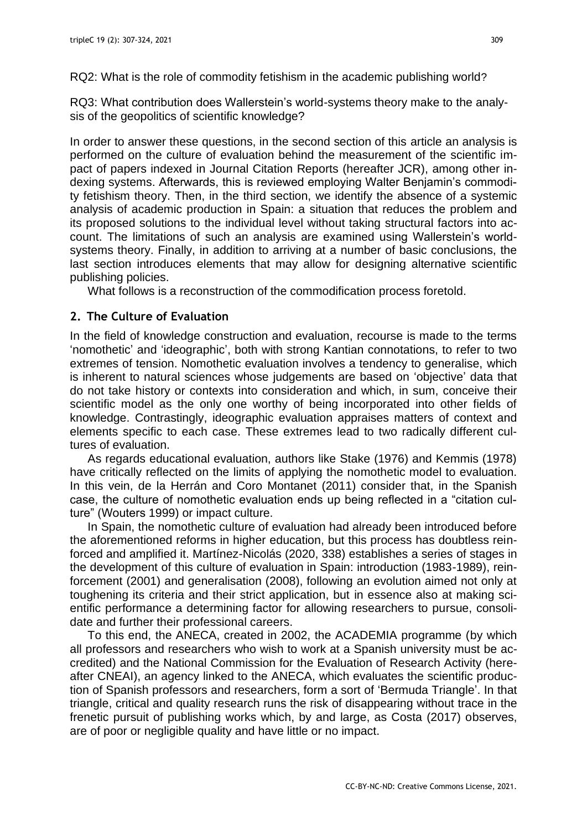RQ3: What contribution does Wallerstein's world-systems theory make to the analysis of the geopolitics of scientific knowledge?

In order to answer these questions, in the second section of this article an analysis is performed on the culture of evaluation behind the measurement of the scientific impact of papers indexed in Journal Citation Reports (hereafter JCR), among other indexing systems. Afterwards, this is reviewed employing Walter Benjamin's commodity fetishism theory. Then, in the third section, we identify the absence of a systemic analysis of academic production in Spain: a situation that reduces the problem and its proposed solutions to the individual level without taking structural factors into account. The limitations of such an analysis are examined using Wallerstein's worldsystems theory. Finally, in addition to arriving at a number of basic conclusions, the last section introduces elements that may allow for designing alternative scientific publishing policies.

What follows is a reconstruction of the commodification process foretold.

# **2. The Culture of Evaluation**

In the field of knowledge construction and evaluation, recourse is made to the terms 'nomothetic' and 'ideographic', both with strong Kantian connotations, to refer to two extremes of tension. Nomothetic evaluation involves a tendency to generalise, which is inherent to natural sciences whose judgements are based on 'objective' data that do not take history or contexts into consideration and which, in sum, conceive their scientific model as the only one worthy of being incorporated into other fields of knowledge. Contrastingly, ideographic evaluation appraises matters of context and elements specific to each case. These extremes lead to two radically different cultures of evaluation.

As regards educational evaluation, authors like Stake (1976) and Kemmis (1978) have critically reflected on the limits of applying the nomothetic model to evaluation. In this vein, de la Herrán and Coro Montanet (2011) consider that, in the Spanish case, the culture of nomothetic evaluation ends up being reflected in a "citation culture" (Wouters 1999) or impact culture.

In Spain, the nomothetic culture of evaluation had already been introduced before the aforementioned reforms in higher education, but this process has doubtless reinforced and amplified it. Martínez-Nicolás (2020, 338) establishes a series of stages in the development of this culture of evaluation in Spain: introduction (1983-1989), reinforcement (2001) and generalisation (2008), following an evolution aimed not only at toughening its criteria and their strict application, but in essence also at making scientific performance a determining factor for allowing researchers to pursue, consolidate and further their professional careers.

To this end, the ANECA, created in 2002, the ACADEMIA programme (by which all professors and researchers who wish to work at a Spanish university must be accredited) and the National Commission for the Evaluation of Research Activity (hereafter CNEAI), an agency linked to the ANECA, which evaluates the scientific production of Spanish professors and researchers, form a sort of 'Bermuda Triangle'. In that triangle, critical and quality research runs the risk of disappearing without trace in the frenetic pursuit of publishing works which, by and large, as Costa (2017) observes, are of poor or negligible quality and have little or no impact.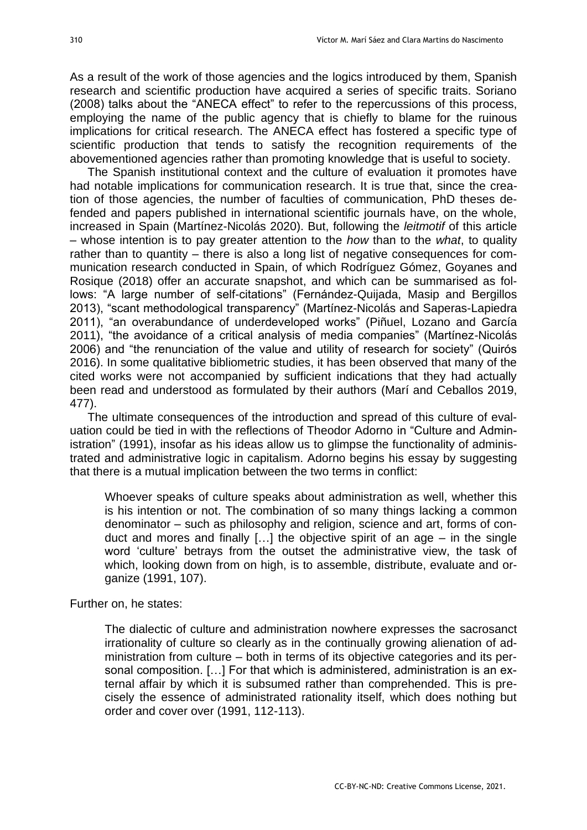As a result of the work of those agencies and the logics introduced by them, Spanish research and scientific production have acquired a series of specific traits. Soriano (2008) talks about the "ANECA effect" to refer to the repercussions of this process, employing the name of the public agency that is chiefly to blame for the ruinous implications for critical research. The ANECA effect has fostered a specific type of scientific production that tends to satisfy the recognition requirements of the abovementioned agencies rather than promoting knowledge that is useful to society.

The Spanish institutional context and the culture of evaluation it promotes have had notable implications for communication research. It is true that, since the creation of those agencies, the number of faculties of communication, PhD theses defended and papers published in international scientific journals have, on the whole, increased in Spain (Martínez-Nicolás 2020). But, following the *leitmotif* of this article – whose intention is to pay greater attention to the *how* than to the *what*, to quality rather than to quantity – there is also a long list of negative consequences for communication research conducted in Spain, of which Rodríguez Gómez, Goyanes and Rosique (2018) offer an accurate snapshot, and which can be summarised as follows: "A large number of self-citations" (Fernández-Quijada, Masip and Bergillos 2013), "scant methodological transparency" (Martínez-Nicolás and Saperas-Lapiedra 2011), "an overabundance of underdeveloped works" (Piñuel, Lozano and García 2011), "the avoidance of a critical analysis of media companies" (Martínez-Nicolás 2006) and "the renunciation of the value and utility of research for society" (Quirós 2016). In some qualitative bibliometric studies, it has been observed that many of the cited works were not accompanied by sufficient indications that they had actually been read and understood as formulated by their authors (Marí and Ceballos 2019, 477).

The ultimate consequences of the introduction and spread of this culture of evaluation could be tied in with the reflections of Theodor Adorno in "Culture and Administration" (1991), insofar as his ideas allow us to glimpse the functionality of administrated and administrative logic in capitalism. Adorno begins his essay by suggesting that there is a mutual implication between the two terms in conflict:

Whoever speaks of culture speaks about administration as well, whether this is his intention or not. The combination of so many things lacking a common denominator – such as philosophy and religion, science and art, forms of conduct and mores and finally  $[...]$  the objective spirit of an age – in the single word 'culture' betrays from the outset the administrative view, the task of which, looking down from on high, is to assemble, distribute, evaluate and organize (1991, 107).

Further on, he states:

The dialectic of culture and administration nowhere expresses the sacrosanct irrationality of culture so clearly as in the continually growing alienation of administration from culture – both in terms of its objective categories and its personal composition. […] For that which is administered, administration is an external affair by which it is subsumed rather than comprehended. This is precisely the essence of administrated rationality itself, which does nothing but order and cover over (1991, 112-113).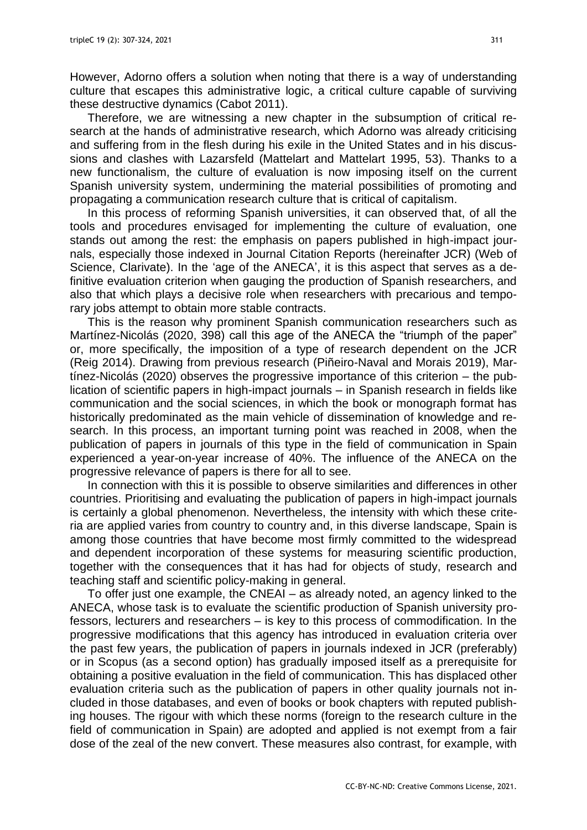However, Adorno offers a solution when noting that there is a way of understanding culture that escapes this administrative logic, a critical culture capable of surviving these destructive dynamics (Cabot 2011).

Therefore, we are witnessing a new chapter in the subsumption of critical research at the hands of administrative research, which Adorno was already criticising and suffering from in the flesh during his exile in the United States and in his discussions and clashes with Lazarsfeld (Mattelart and Mattelart 1995, 53). Thanks to a new functionalism, the culture of evaluation is now imposing itself on the current Spanish university system, undermining the material possibilities of promoting and propagating a communication research culture that is critical of capitalism.

In this process of reforming Spanish universities, it can observed that, of all the tools and procedures envisaged for implementing the culture of evaluation, one stands out among the rest: the emphasis on papers published in high-impact journals, especially those indexed in Journal Citation Reports (hereinafter JCR) (Web of Science, Clarivate). In the 'age of the ANECA', it is this aspect that serves as a definitive evaluation criterion when gauging the production of Spanish researchers, and also that which plays a decisive role when researchers with precarious and temporary jobs attempt to obtain more stable contracts.

This is the reason why prominent Spanish communication researchers such as Martínez-Nicolás (2020, 398) call this age of the ANECA the "triumph of the paper" or, more specifically, the imposition of a type of research dependent on the JCR (Reig 2014). Drawing from previous research (Piñeiro-Naval and Morais 2019), Martínez-Nicolás (2020) observes the progressive importance of this criterion – the publication of scientific papers in high-impact journals – in Spanish research in fields like communication and the social sciences, in which the book or monograph format has historically predominated as the main vehicle of dissemination of knowledge and research. In this process, an important turning point was reached in 2008, when the publication of papers in journals of this type in the field of communication in Spain experienced a year-on-year increase of 40%. The influence of the ANECA on the progressive relevance of papers is there for all to see.

In connection with this it is possible to observe similarities and differences in other countries. Prioritising and evaluating the publication of papers in high-impact journals is certainly a global phenomenon. Nevertheless, the intensity with which these criteria are applied varies from country to country and, in this diverse landscape, Spain is among those countries that have become most firmly committed to the widespread and dependent incorporation of these systems for measuring scientific production, together with the consequences that it has had for objects of study, research and teaching staff and scientific policy-making in general.

To offer just one example, the CNEAI – as already noted, an agency linked to the ANECA, whose task is to evaluate the scientific production of Spanish university professors, lecturers and researchers – is key to this process of commodification. In the progressive modifications that this agency has introduced in evaluation criteria over the past few years, the publication of papers in journals indexed in JCR (preferably) or in Scopus (as a second option) has gradually imposed itself as a prerequisite for obtaining a positive evaluation in the field of communication. This has displaced other evaluation criteria such as the publication of papers in other quality journals not included in those databases, and even of books or book chapters with reputed publishing houses. The rigour with which these norms (foreign to the research culture in the field of communication in Spain) are adopted and applied is not exempt from a fair dose of the zeal of the new convert. These measures also contrast, for example, with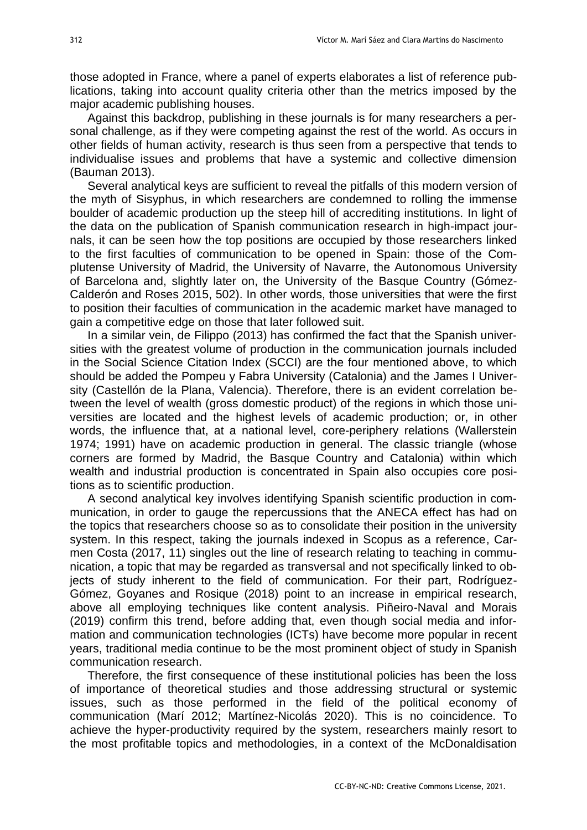those adopted in France, where a panel of experts elaborates a list of reference publications, taking into account quality criteria other than the metrics imposed by the major academic publishing houses.

Against this backdrop, publishing in these journals is for many researchers a personal challenge, as if they were competing against the rest of the world. As occurs in other fields of human activity, research is thus seen from a perspective that tends to individualise issues and problems that have a systemic and collective dimension (Bauman 2013).

Several analytical keys are sufficient to reveal the pitfalls of this modern version of the myth of Sisyphus, in which researchers are condemned to rolling the immense boulder of academic production up the steep hill of accrediting institutions. In light of the data on the publication of Spanish communication research in high-impact journals, it can be seen how the top positions are occupied by those researchers linked to the first faculties of communication to be opened in Spain: those of the Complutense University of Madrid, the University of Navarre, the Autonomous University of Barcelona and, slightly later on, the University of the Basque Country (Gómez-Calderón and Roses 2015, 502). In other words, those universities that were the first to position their faculties of communication in the academic market have managed to gain a competitive edge on those that later followed suit.

In a similar vein, de Filippo (2013) has confirmed the fact that the Spanish universities with the greatest volume of production in the communication journals included in the Social Science Citation Index (SCCI) are the four mentioned above, to which should be added the Pompeu y Fabra University (Catalonia) and the James I University (Castellón de la Plana, Valencia). Therefore, there is an evident correlation between the level of wealth (gross domestic product) of the regions in which those universities are located and the highest levels of academic production; or, in other words, the influence that, at a national level, core-periphery relations (Wallerstein 1974; 1991) have on academic production in general. The classic triangle (whose corners are formed by Madrid, the Basque Country and Catalonia) within which wealth and industrial production is concentrated in Spain also occupies core positions as to scientific production.

A second analytical key involves identifying Spanish scientific production in communication, in order to gauge the repercussions that the ANECA effect has had on the topics that researchers choose so as to consolidate their position in the university system. In this respect, taking the journals indexed in Scopus as a reference, Carmen Costa (2017, 11) singles out the line of research relating to teaching in communication, a topic that may be regarded as transversal and not specifically linked to objects of study inherent to the field of communication. For their part, Rodríguez-Gómez, Goyanes and Rosique (2018) point to an increase in empirical research, above all employing techniques like content analysis. Piñeiro-Naval and Morais (2019) confirm this trend, before adding that, even though social media and information and communication technologies (ICTs) have become more popular in recent years, traditional media continue to be the most prominent object of study in Spanish communication research.

Therefore, the first consequence of these institutional policies has been the loss of importance of theoretical studies and those addressing structural or systemic issues, such as those performed in the field of the political economy of communication (Marí 2012; Martínez-Nicolás 2020). This is no coincidence. To achieve the hyper-productivity required by the system, researchers mainly resort to the most profitable topics and methodologies, in a context of the McDonaldisation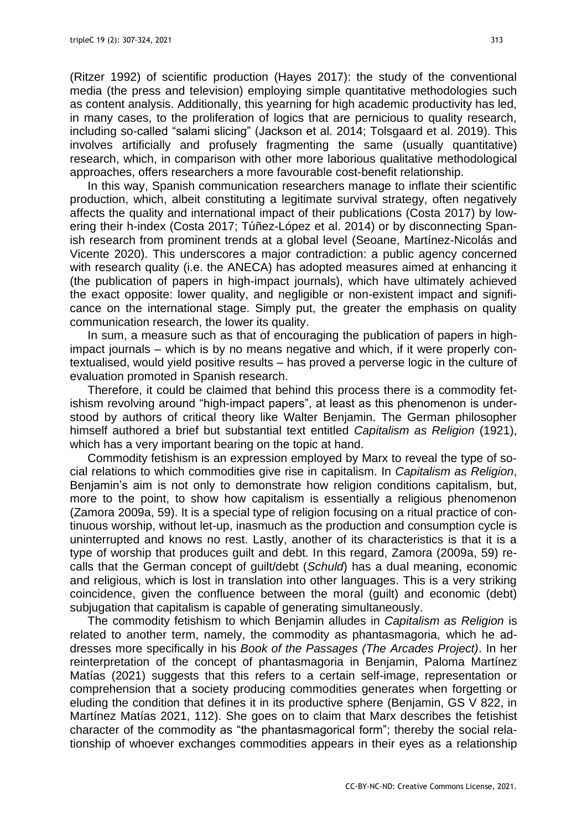(Ritzer 1992) of scientific production (Hayes 2017): the study of the conventional media (the press and television) employing simple quantitative methodologies such as content analysis. Additionally, this yearning for high academic productivity has led, in many cases, to the proliferation of logics that are pernicious to quality research, including so-called "salami slicing" (Jackson et al. 2014; Tolsgaard et al. 2019). This involves artificially and profusely fragmenting the same (usually quantitative) research, which, in comparison with other more laborious qualitative methodological approaches, offers researchers a more favourable cost-benefit relationship.

In this way, Spanish communication researchers manage to inflate their scientific production, which, albeit constituting a legitimate survival strategy, often negatively affects the quality and international impact of their publications (Costa 2017) by lowering their h-index (Costa 2017; Túñez-López et al. 2014) or by disconnecting Spanish research from prominent trends at a global level (Seoane, Martínez-Nicolás and Vicente 2020). This underscores a major contradiction: a public agency concerned with research quality (i.e. the ANECA) has adopted measures aimed at enhancing it (the publication of papers in high-impact journals), which have ultimately achieved the exact opposite: lower quality, and negligible or non-existent impact and significance on the international stage. Simply put, the greater the emphasis on quality communication research, the lower its quality.

In sum, a measure such as that of encouraging the publication of papers in highimpact journals – which is by no means negative and which, if it were properly contextualised, would yield positive results – has proved a perverse logic in the culture of evaluation promoted in Spanish research.

Therefore, it could be claimed that behind this process there is a commodity fetishism revolving around "high-impact papers", at least as this phenomenon is understood by authors of critical theory like Walter Benjamin. The German philosopher himself authored a brief but substantial text entitled *Capitalism as Religion* (1921), which has a very important bearing on the topic at hand.

Commodity fetishism is an expression employed by Marx to reveal the type of social relations to which commodities give rise in capitalism. In *Capitalism as Religion*, Benjamin's aim is not only to demonstrate how religion conditions capitalism, but, more to the point, to show how capitalism is essentially a religious phenomenon (Zamora 2009a, 59). It is a special type of religion focusing on a ritual practice of continuous worship, without let-up, inasmuch as the production and consumption cycle is uninterrupted and knows no rest. Lastly, another of its characteristics is that it is a type of worship that produces guilt and debt. In this regard, Zamora (2009a, 59) recalls that the German concept of guilt/debt (*Schuld*) has a dual meaning, economic and religious, which is lost in translation into other languages. This is a very striking coincidence, given the confluence between the moral (guilt) and economic (debt) subjugation that capitalism is capable of generating simultaneously.

The commodity fetishism to which Benjamin alludes in *Capitalism as Religion* is related to another term, namely, the commodity as phantasmagoria, which he addresses more specifically in his *Book of the Passages (The Arcades Project)*. In her reinterpretation of the concept of phantasmagoria in Benjamin, Paloma Martínez Matías (2021) suggests that this refers to a certain self-image, representation or comprehension that a society producing commodities generates when forgetting or eluding the condition that defines it in its productive sphere (Benjamin, GS V 822, in Martínez Matías 2021, 112). She goes on to claim that Marx describes the fetishist character of the commodity as "the phantasmagorical form"; thereby the social relationship of whoever exchanges commodities appears in their eyes as a relationship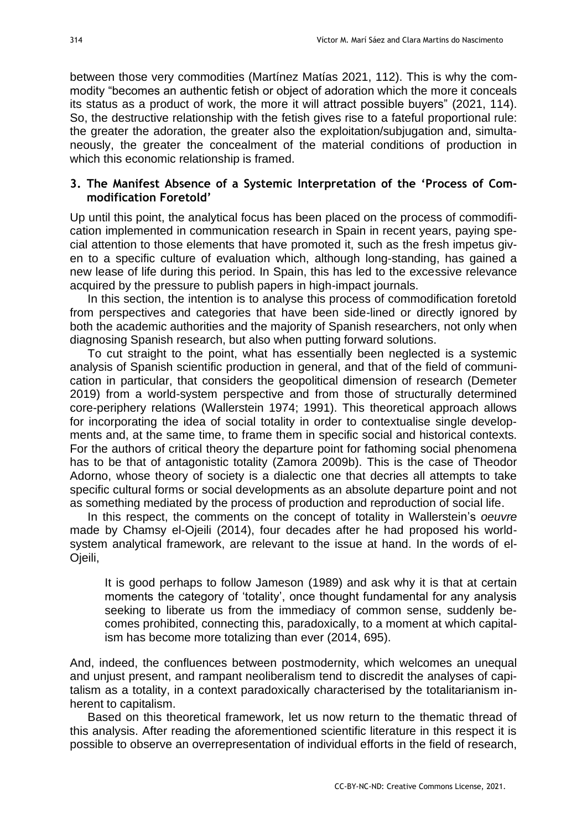between those very commodities (Martínez Matías 2021, 112). This is why the commodity "becomes an authentic fetish or object of adoration which the more it conceals its status as a product of work, the more it will attract possible buyers" (2021, 114). So, the destructive relationship with the fetish gives rise to a fateful proportional rule: the greater the adoration, the greater also the exploitation/subjugation and, simultaneously, the greater the concealment of the material conditions of production in which this economic relationship is framed.

# **3. The Manifest Absence of a Systemic Interpretation of the 'Process of Commodification Foretold'**

Up until this point, the analytical focus has been placed on the process of commodification implemented in communication research in Spain in recent years, paying special attention to those elements that have promoted it, such as the fresh impetus given to a specific culture of evaluation which, although long-standing, has gained a new lease of life during this period. In Spain, this has led to the excessive relevance acquired by the pressure to publish papers in high-impact journals.

In this section, the intention is to analyse this process of commodification foretold from perspectives and categories that have been side-lined or directly ignored by both the academic authorities and the majority of Spanish researchers, not only when diagnosing Spanish research, but also when putting forward solutions.

To cut straight to the point, what has essentially been neglected is a systemic analysis of Spanish scientific production in general, and that of the field of communication in particular, that considers the geopolitical dimension of research (Demeter 2019) from a world-system perspective and from those of structurally determined core-periphery relations (Wallerstein 1974; 1991). This theoretical approach allows for incorporating the idea of social totality in order to contextualise single developments and, at the same time, to frame them in specific social and historical contexts. For the authors of critical theory the departure point for fathoming social phenomena has to be that of antagonistic totality (Zamora 2009b). This is the case of Theodor Adorno, whose theory of society is a dialectic one that decries all attempts to take specific cultural forms or social developments as an absolute departure point and not as something mediated by the process of production and reproduction of social life.

In this respect, the comments on the concept of totality in Wallerstein's *oeuvre* made by Chamsy el-Ojeili (2014), four decades after he had proposed his worldsystem analytical framework, are relevant to the issue at hand. In the words of el-Ojeili,

It is good perhaps to follow Jameson (1989) and ask why it is that at certain moments the category of 'totality', once thought fundamental for any analysis seeking to liberate us from the immediacy of common sense, suddenly becomes prohibited, connecting this, paradoxically, to a moment at which capitalism has become more totalizing than ever (2014, 695).

And, indeed, the confluences between postmodernity, which welcomes an unequal and unjust present, and rampant neoliberalism tend to discredit the analyses of capitalism as a totality, in a context paradoxically characterised by the totalitarianism inherent to capitalism.

Based on this theoretical framework, let us now return to the thematic thread of this analysis. After reading the aforementioned scientific literature in this respect it is possible to observe an overrepresentation of individual efforts in the field of research,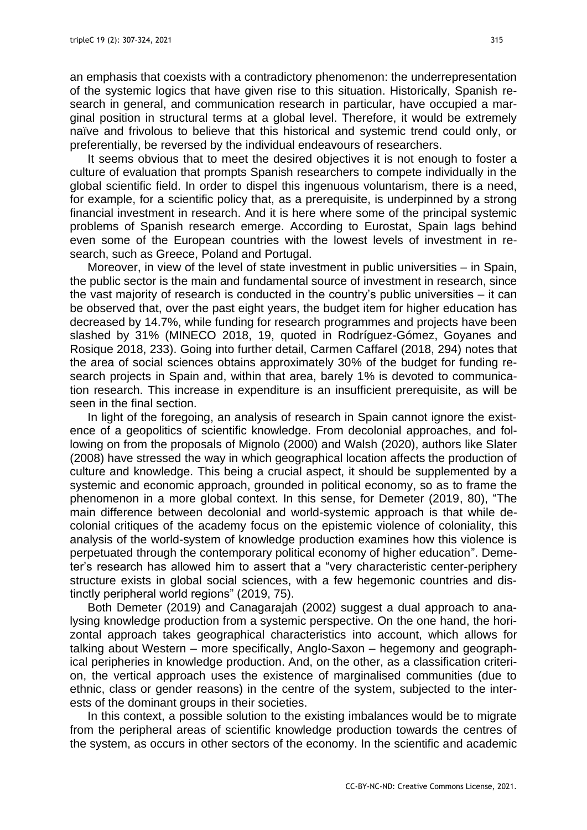an emphasis that coexists with a contradictory phenomenon: the underrepresentation of the systemic logics that have given rise to this situation. Historically, Spanish research in general, and communication research in particular, have occupied a marginal position in structural terms at a global level. Therefore, it would be extremely naïve and frivolous to believe that this historical and systemic trend could only, or preferentially, be reversed by the individual endeavours of researchers.

It seems obvious that to meet the desired objectives it is not enough to foster a culture of evaluation that prompts Spanish researchers to compete individually in the global scientific field. In order to dispel this ingenuous voluntarism, there is a need, for example, for a scientific policy that, as a prerequisite, is underpinned by a strong financial investment in research. And it is here where some of the principal systemic problems of Spanish research emerge. According to Eurostat, Spain lags behind even some of the European countries with the lowest levels of investment in research, such as Greece, Poland and Portugal.

Moreover, in view of the level of state investment in public universities – in Spain, the public sector is the main and fundamental source of investment in research, since the vast majority of research is conducted in the country's public universities – it can be observed that, over the past eight years, the budget item for higher education has decreased by 14.7%, while funding for research programmes and projects have been slashed by 31% (MINECO 2018, 19, quoted in Rodríguez-Gómez, Goyanes and Rosique 2018, 233). Going into further detail, Carmen Caffarel (2018, 294) notes that the area of social sciences obtains approximately 30% of the budget for funding research projects in Spain and, within that area, barely 1% is devoted to communication research. This increase in expenditure is an insufficient prerequisite, as will be seen in the final section.

In light of the foregoing, an analysis of research in Spain cannot ignore the existence of a geopolitics of scientific knowledge. From decolonial approaches, and following on from the proposals of Mignolo (2000) and Walsh (2020), authors like Slater (2008) have stressed the way in which geographical location affects the production of culture and knowledge. This being a crucial aspect, it should be supplemented by a systemic and economic approach, grounded in political economy, so as to frame the phenomenon in a more global context. In this sense, for Demeter (2019, 80), "The main difference between decolonial and world-systemic approach is that while decolonial critiques of the academy focus on the epistemic violence of coloniality, this analysis of the world-system of knowledge production examines how this violence is perpetuated through the contemporary political economy of higher education". Demeter's research has allowed him to assert that a "very characteristic center-periphery structure exists in global social sciences, with a few hegemonic countries and distinctly peripheral world regions" (2019, 75).

Both Demeter (2019) and Canagarajah (2002) suggest a dual approach to analysing knowledge production from a systemic perspective. On the one hand, the horizontal approach takes geographical characteristics into account, which allows for talking about Western – more specifically, Anglo-Saxon – hegemony and geographical peripheries in knowledge production. And, on the other, as a classification criterion, the vertical approach uses the existence of marginalised communities (due to ethnic, class or gender reasons) in the centre of the system, subjected to the interests of the dominant groups in their societies.

In this context, a possible solution to the existing imbalances would be to migrate from the peripheral areas of scientific knowledge production towards the centres of the system, as occurs in other sectors of the economy. In the scientific and academic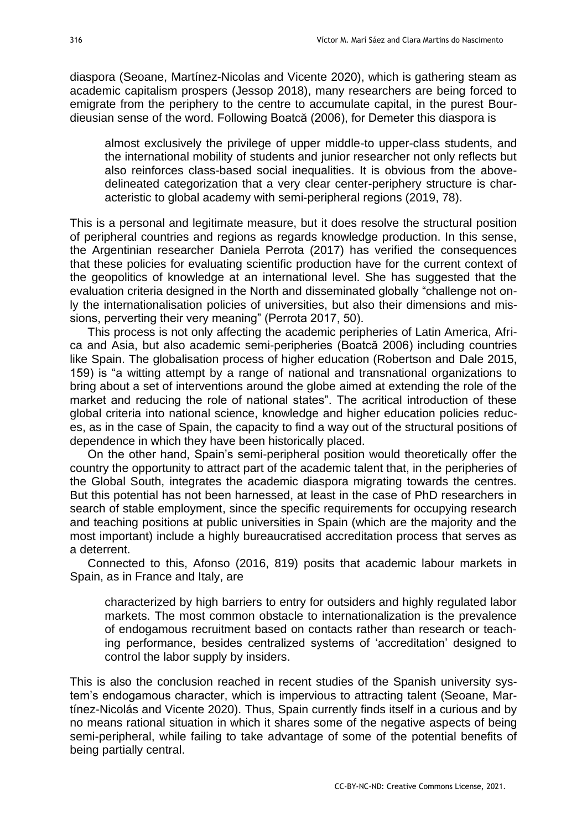diaspora (Seoane, Martínez-Nicolas and Vicente 2020), which is gathering steam as academic capitalism prospers (Jessop 2018), many researchers are being forced to emigrate from the periphery to the centre to accumulate capital, in the purest Bourdieusian sense of the word. Following Boatcă (2006), for Demeter this diaspora is

almost exclusively the privilege of upper middle-to upper-class students, and the international mobility of students and junior researcher not only reflects but also reinforces class-based social inequalities. It is obvious from the abovedelineated categorization that a very clear center-periphery structure is characteristic to global academy with semi-peripheral regions (2019, 78).

This is a personal and legitimate measure, but it does resolve the structural position of peripheral countries and regions as regards knowledge production. In this sense, the Argentinian researcher Daniela Perrota (2017) has verified the consequences that these policies for evaluating scientific production have for the current context of the geopolitics of knowledge at an international level. She has suggested that the evaluation criteria designed in the North and disseminated globally "challenge not only the internationalisation policies of universities, but also their dimensions and missions, perverting their very meaning" (Perrota 2017, 50).

This process is not only affecting the academic peripheries of Latin America, Africa and Asia, but also academic semi-peripheries (Boatcă 2006) including countries like Spain. The globalisation process of higher education (Robertson and Dale 2015, 159) is "a witting attempt by a range of national and transnational organizations to bring about a set of interventions around the globe aimed at extending the role of the market and reducing the role of national states". The acritical introduction of these global criteria into national science, knowledge and higher education policies reduces, as in the case of Spain, the capacity to find a way out of the structural positions of dependence in which they have been historically placed.

On the other hand, Spain's semi-peripheral position would theoretically offer the country the opportunity to attract part of the academic talent that, in the peripheries of the Global South, integrates the academic diaspora migrating towards the centres. But this potential has not been harnessed, at least in the case of PhD researchers in search of stable employment, since the specific requirements for occupying research and teaching positions at public universities in Spain (which are the majority and the most important) include a highly bureaucratised accreditation process that serves as a deterrent.

Connected to this, Afonso (2016, 819) posits that academic labour markets in Spain, as in France and Italy, are

characterized by high barriers to entry for outsiders and highly regulated labor markets. The most common obstacle to internationalization is the prevalence of endogamous recruitment based on contacts rather than research or teaching performance, besides centralized systems of 'accreditation' designed to control the labor supply by insiders.

This is also the conclusion reached in recent studies of the Spanish university system's endogamous character, which is impervious to attracting talent (Seoane, Martínez-Nicolás and Vicente 2020). Thus, Spain currently finds itself in a curious and by no means rational situation in which it shares some of the negative aspects of being semi-peripheral, while failing to take advantage of some of the potential benefits of being partially central.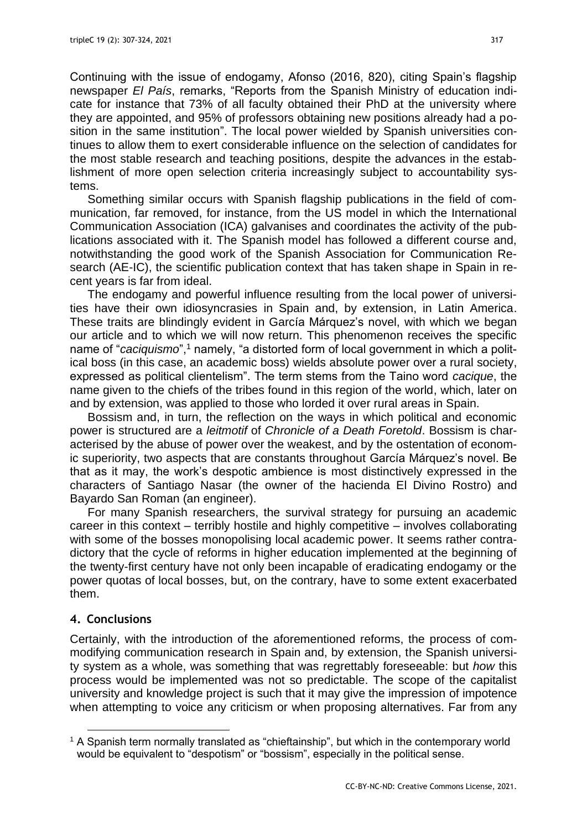Continuing with the issue of endogamy, Afonso (2016, 820), citing Spain's flagship newspaper *El País*, remarks, "Reports from the Spanish Ministry of education indicate for instance that 73% of all faculty obtained their PhD at the university where they are appointed, and 95% of professors obtaining new positions already had a position in the same institution". The local power wielded by Spanish universities continues to allow them to exert considerable influence on the selection of candidates for the most stable research and teaching positions, despite the advances in the establishment of more open selection criteria increasingly subject to accountability systems.

Something similar occurs with Spanish flagship publications in the field of communication, far removed, for instance, from the US model in which the International Communication Association (ICA) galvanises and coordinates the activity of the publications associated with it. The Spanish model has followed a different course and, notwithstanding the good work of the Spanish Association for Communication Research (AE-IC), the scientific publication context that has taken shape in Spain in recent years is far from ideal.

The endogamy and powerful influence resulting from the local power of universities have their own idiosyncrasies in Spain and, by extension, in Latin America. These traits are blindingly evident in García Márquez's novel, with which we began our article and to which we will now return. This phenomenon receives the specific name of "*caciquismo*",<sup>1</sup> namely, "a distorted form of local government in which a political boss (in this case, an academic boss) wields absolute power over a rural society, expressed as political clientelism". The term stems from the Taino word *cacique*, the name given to the chiefs of the tribes found in this region of the world, which, later on and by extension, was applied to those who lorded it over rural areas in Spain.

Bossism and, in turn, the reflection on the ways in which political and economic power is structured are a *leitmotif* of *Chronicle of a Death Foretold*. Bossism is characterised by the abuse of power over the weakest, and by the ostentation of economic superiority, two aspects that are constants throughout García Márquez's novel. Be that as it may, the work's despotic ambience is most distinctively expressed in the characters of Santiago Nasar (the owner of the hacienda El Divino Rostro) and Bayardo San Roman (an engineer).

For many Spanish researchers, the survival strategy for pursuing an academic career in this context – terribly hostile and highly competitive – involves collaborating with some of the bosses monopolising local academic power. It seems rather contradictory that the cycle of reforms in higher education implemented at the beginning of the twenty-first century have not only been incapable of eradicating endogamy or the power quotas of local bosses, but, on the contrary, have to some extent exacerbated them.

### **4. Conclusions**

Certainly, with the introduction of the aforementioned reforms, the process of commodifying communication research in Spain and, by extension, the Spanish university system as a whole, was something that was regrettably foreseeable: but *how* this process would be implemented was not so predictable. The scope of the capitalist university and knowledge project is such that it may give the impression of impotence when attempting to voice any criticism or when proposing alternatives. Far from any

<sup>1</sup> A Spanish term normally translated as "chieftainship", but which in the contemporary world would be equivalent to "despotism" or "bossism", especially in the political sense.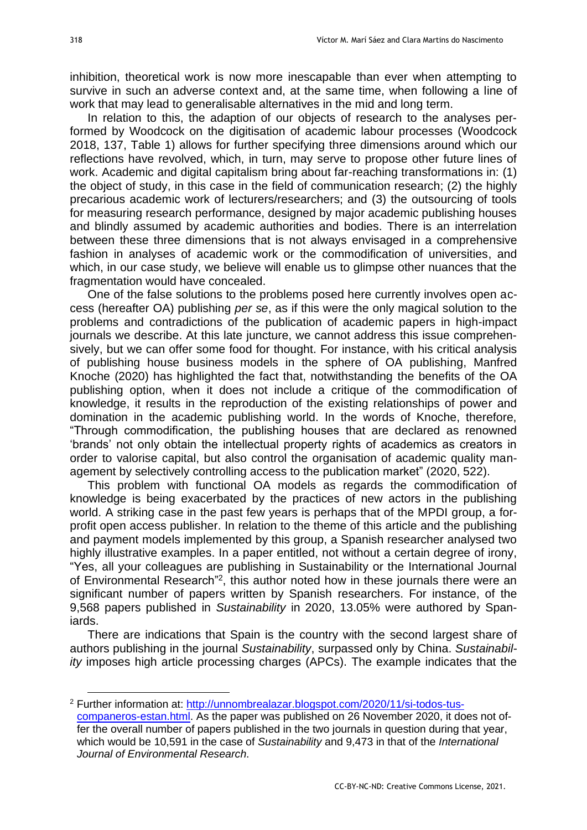inhibition, theoretical work is now more inescapable than ever when attempting to survive in such an adverse context and, at the same time, when following a line of work that may lead to generalisable alternatives in the mid and long term.

In relation to this, the adaption of our objects of research to the analyses performed by Woodcock on the digitisation of academic labour processes (Woodcock 2018, 137, Table 1) allows for further specifying three dimensions around which our reflections have revolved, which, in turn, may serve to propose other future lines of work. Academic and digital capitalism bring about far-reaching transformations in: (1) the object of study, in this case in the field of communication research; (2) the highly precarious academic work of lecturers/researchers; and (3) the outsourcing of tools for measuring research performance, designed by major academic publishing houses and blindly assumed by academic authorities and bodies. There is an interrelation between these three dimensions that is not always envisaged in a comprehensive fashion in analyses of academic work or the commodification of universities, and which, in our case study, we believe will enable us to glimpse other nuances that the fragmentation would have concealed.

One of the false solutions to the problems posed here currently involves open access (hereafter OA) publishing *per se*, as if this were the only magical solution to the problems and contradictions of the publication of academic papers in high-impact journals we describe. At this late juncture, we cannot address this issue comprehensively, but we can offer some food for thought. For instance, with his critical analysis of publishing house business models in the sphere of OA publishing, Manfred Knoche (2020) has highlighted the fact that, notwithstanding the benefits of the OA publishing option, when it does not include a critique of the commodification of knowledge, it results in the reproduction of the existing relationships of power and domination in the academic publishing world. In the words of Knoche, therefore, "Through commodification, the publishing houses that are declared as renowned 'brands' not only obtain the intellectual property rights of academics as creators in order to valorise capital, but also control the organisation of academic quality management by selectively controlling access to the publication market" (2020, 522).

This problem with functional OA models as regards the commodification of knowledge is being exacerbated by the practices of new actors in the publishing world. A striking case in the past few years is perhaps that of the MPDI group, a forprofit open access publisher. In relation to the theme of this article and the publishing and payment models implemented by this group, a Spanish researcher analysed two highly illustrative examples. In a paper entitled, not without a certain degree of irony, "Yes, all your colleagues are publishing in Sustainability or the International Journal of Environmental Research"<sup>2</sup>, this author noted how in these journals there were an significant number of papers written by Spanish researchers. For instance, of the 9,568 papers published in *Sustainability* in 2020, 13.05% were authored by Spaniards.

There are indications that Spain is the country with the second largest share of authors publishing in the journal *Sustainability*, surpassed only by China. *Sustainability* imposes high article processing charges (APCs). The example indicates that the

<sup>2</sup> Further information at: [http://unnombrealazar.blogspot.com/2020/11/si-todos-tus](http://unnombrealazar.blogspot.com/2020/11/si-todos-tus-companeros-estan.html)[companeros-estan.html.](http://unnombrealazar.blogspot.com/2020/11/si-todos-tus-companeros-estan.html) As the paper was published on 26 November 2020, it does not offer the overall number of papers published in the two journals in question during that year, which would be 10,591 in the case of *Sustainability* and 9,473 in that of the *International Journal of Environmental Research*.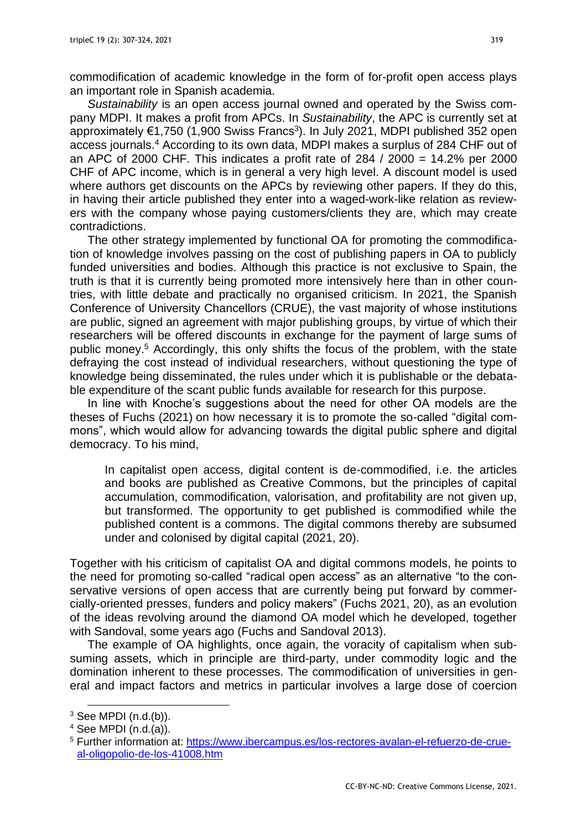commodification of academic knowledge in the form of for-profit open access plays an important role in Spanish academia.

*Sustainability* is an open access journal owned and operated by the Swiss company MDPI. It makes a profit from APCs. In *Sustainability*, the APC is currently set at approximately €1,750 (1,900 Swiss Francs 3 ). In July 2021, MDPI published 352 open access journals. <sup>4</sup> According to its own data, MDPI makes a surplus of 284 CHF out of an APC of 2000 CHF. This indicates a profit rate of 284  $/$  2000 = 14.2% per 2000 CHF of APC income, which is in general a very high level. A discount model is used where authors get discounts on the APCs by reviewing other papers. If they do this, in having their article published they enter into a waged-work-like relation as reviewers with the company whose paying customers/clients they are, which may create contradictions.

The other strategy implemented by functional OA for promoting the commodification of knowledge involves passing on the cost of publishing papers in OA to publicly funded universities and bodies. Although this practice is not exclusive to Spain, the truth is that it is currently being promoted more intensively here than in other countries, with little debate and practically no organised criticism. In 2021, the Spanish Conference of University Chancellors (CRUE), the vast majority of whose institutions are public, signed an agreement with major publishing groups, by virtue of which their researchers will be offered discounts in exchange for the payment of large sums of public money. <sup>5</sup> Accordingly, this only shifts the focus of the problem, with the state defraying the cost instead of individual researchers, without questioning the type of knowledge being disseminated, the rules under which it is publishable or the debatable expenditure of the scant public funds available for research for this purpose.

In line with Knoche's suggestions about the need for other OA models are the theses of Fuchs (2021) on how necessary it is to promote the so-called "digital commons", which would allow for advancing towards the digital public sphere and digital democracy. To his mind,

In capitalist open access, digital content is de-commodified, i.e. the articles and books are published as Creative Commons, but the principles of capital accumulation, commodification, valorisation, and profitability are not given up, but transformed. The opportunity to get published is commodified while the published content is a commons. The digital commons thereby are subsumed under and colonised by digital capital (2021, 20).

Together with his criticism of capitalist OA and digital commons models, he points to the need for promoting so-called "radical open access" as an alternative "to the conservative versions of open access that are currently being put forward by commercially-oriented presses, funders and policy makers" (Fuchs 2021, 20), as an evolution of the ideas revolving around the diamond OA model which he developed, together with Sandoval, some years ago (Fuchs and Sandoval 2013).

The example of OA highlights, once again, the voracity of capitalism when subsuming assets, which in principle are third-party, under commodity logic and the domination inherent to these processes. The commodification of universities in general and impact factors and metrics in particular involves a large dose of coercion

 $3$  See MPDI (n.d.(b)).

 $4$  See MPDI  $(n,d,(a))$ .

<sup>5</sup> Further information at: [https://www.ibercampus.es/los-rectores-avalan-el-refuerzo-de-crue](https://www.ibercampus.es/los-rectores-avalan-el-refuerzo-de-crue-al-oligopolio-de-los-41008.htm)[al-oligopolio-de-los-41008.htm](https://www.ibercampus.es/los-rectores-avalan-el-refuerzo-de-crue-al-oligopolio-de-los-41008.htm)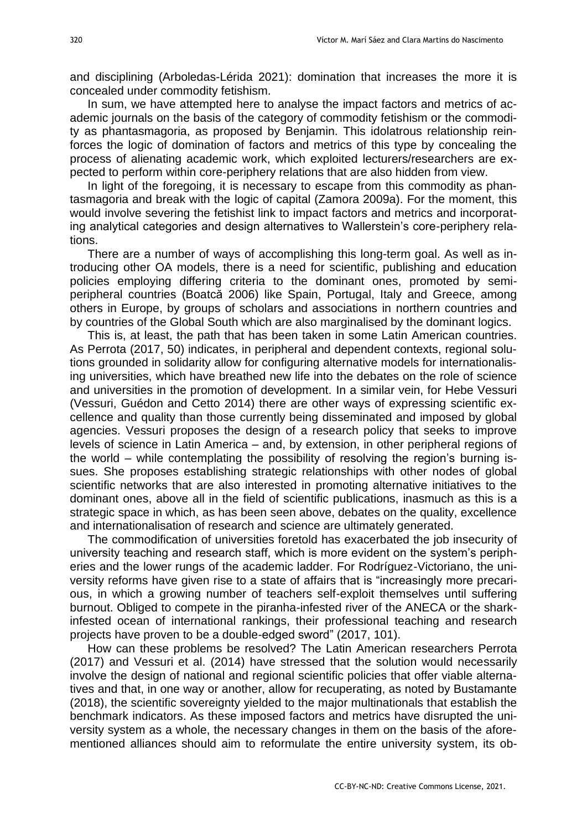and disciplining (Arboledas-Lérida 2021): domination that increases the more it is concealed under commodity fetishism.

In sum, we have attempted here to analyse the impact factors and metrics of academic journals on the basis of the category of commodity fetishism or the commodity as phantasmagoria, as proposed by Benjamin. This idolatrous relationship reinforces the logic of domination of factors and metrics of this type by concealing the process of alienating academic work, which exploited lecturers/researchers are expected to perform within core-periphery relations that are also hidden from view.

In light of the foregoing, it is necessary to escape from this commodity as phantasmagoria and break with the logic of capital (Zamora 2009a). For the moment, this would involve severing the fetishist link to impact factors and metrics and incorporating analytical categories and design alternatives to Wallerstein's core-periphery relations.

There are a number of ways of accomplishing this long-term goal. As well as introducing other OA models, there is a need for scientific, publishing and education policies employing differing criteria to the dominant ones, promoted by semiperipheral countries (Boatcă 2006) like Spain, Portugal, Italy and Greece, among others in Europe, by groups of scholars and associations in northern countries and by countries of the Global South which are also marginalised by the dominant logics.

This is, at least, the path that has been taken in some Latin American countries. As Perrota (2017, 50) indicates, in peripheral and dependent contexts, regional solutions grounded in solidarity allow for configuring alternative models for internationalising universities, which have breathed new life into the debates on the role of science and universities in the promotion of development. In a similar vein, for Hebe Vessuri (Vessuri, Guédon and Cetto 2014) there are other ways of expressing scientific excellence and quality than those currently being disseminated and imposed by global agencies. Vessuri proposes the design of a research policy that seeks to improve levels of science in Latin America – and, by extension, in other peripheral regions of the world – while contemplating the possibility of resolving the region's burning issues. She proposes establishing strategic relationships with other nodes of global scientific networks that are also interested in promoting alternative initiatives to the dominant ones, above all in the field of scientific publications, inasmuch as this is a strategic space in which, as has been seen above, debates on the quality, excellence and internationalisation of research and science are ultimately generated.

The commodification of universities foretold has exacerbated the job insecurity of university teaching and research staff, which is more evident on the system's peripheries and the lower rungs of the academic ladder. For Rodríguez-Victoriano, the university reforms have given rise to a state of affairs that is "increasingly more precarious, in which a growing number of teachers self-exploit themselves until suffering burnout. Obliged to compete in the piranha-infested river of the ANECA or the sharkinfested ocean of international rankings, their professional teaching and research projects have proven to be a double-edged sword" (2017, 101).

How can these problems be resolved? The Latin American researchers Perrota (2017) and Vessuri et al. (2014) have stressed that the solution would necessarily involve the design of national and regional scientific policies that offer viable alternatives and that, in one way or another, allow for recuperating, as noted by Bustamante (2018), the scientific sovereignty yielded to the major multinationals that establish the benchmark indicators. As these imposed factors and metrics have disrupted the university system as a whole, the necessary changes in them on the basis of the aforementioned alliances should aim to reformulate the entire university system, its ob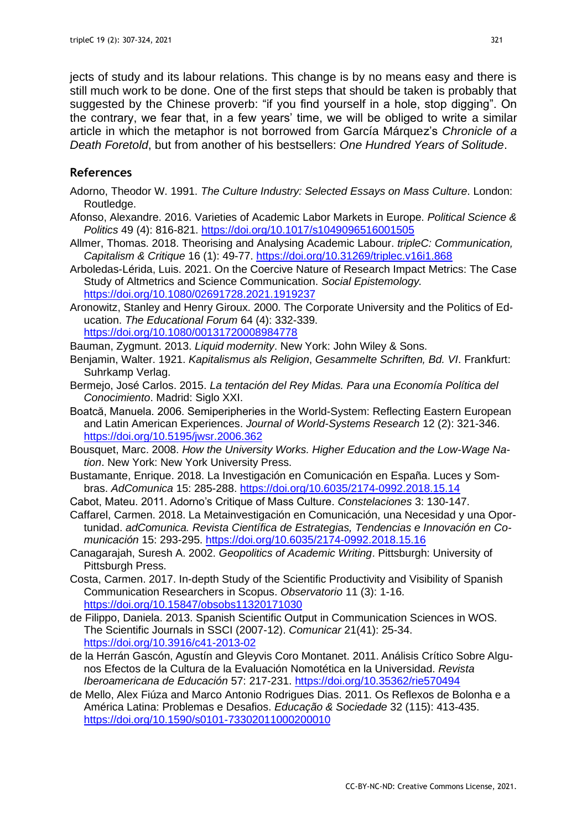jects of study and its labour relations. This change is by no means easy and there is still much work to be done. One of the first steps that should be taken is probably that suggested by the Chinese proverb: "if you find yourself in a hole, stop digging". On the contrary, we fear that, in a few years' time, we will be obliged to write a similar article in which the metaphor is not borrowed from García Márquez's *Chronicle of a Death Foretold*, but from another of his bestsellers: *One Hundred Years of Solitude*.

## **References**

- Adorno, Theodor W. 1991. *The Culture Industry: Selected Essays on Mass Culture*. London: Routledge.
- Afonso, Alexandre. 2016. Varieties of Academic Labor Markets in Europe. *Political Science & Politics* 49 (4): 816-821.<https://doi.org/10.1017/s1049096516001505>
- Allmer, Thomas. 2018. Theorising and Analysing Academic Labour. *tripleC: Communication, Capitalism & Critique* 16 (1): 49-77.<https://doi.org/10.31269/triplec.v16i1.868>
- Arboledas-Lérida, Luis. 2021. On the Coercive Nature of Research Impact Metrics: The Case Study of Altmetrics and Science Communication. *Social Epistemology.* <https://doi.org/10.1080/02691728.2021.1919237>
- Aronowitz, Stanley and Henry Giroux. 2000. The Corporate University and the Politics of Education. *The Educational Forum* 64 (4): 332-339. <https://doi.org/10.1080/00131720008984778>
- Bauman, Zygmunt. 2013. *Liquid modernity*. New York: John Wiley & Sons.
- Benjamin, Walter. 1921. *Kapitalismus als Religion*, *Gesammelte Schriften, Bd. VI*. Frankfurt: Suhrkamp Verlag.
- Bermejo, José Carlos. 2015. *La tentación del Rey Midas. Para una Economía Política del Conocimiento*. Madrid: Siglo XXI.
- Boatcă, Manuela. 2006. Semiperipheries in the World-System: Reflecting Eastern European and Latin American Experiences. *Journal of World-Systems Research* 12 (2): 321-346. <https://doi.org/10.5195/jwsr.2006.362>
- Bousquet, Marc. 2008. *How the University Works. Higher Education and the Low-Wage Nation*. New York: New York University Press.
- Bustamante, Enrique. 2018. La Investigación en Comunicación en España. Luces y Sombras. *AdComunica* 15: 285-288.<https://doi.org/10.6035/2174-0992.2018.15.14>
- Cabot, Mateu. 2011. Adorno's Critique of Mass Culture. *Constelaciones* 3: 130-147.
- Caffarel, Carmen. 2018. La Metainvestigación en Comunicación, una Necesidad y una Oportunidad. *adComunica. Revista Científica de Estrategias, Tendencias e Innovación en Comunicación* 15: 293-295.<https://doi.org/10.6035/2174-0992.2018.15.16>
- Canagarajah, Suresh A. 2002. *Geopolitics of Academic Writing*. Pittsburgh: University of Pittsburgh Press.
- Costa, Carmen. 2017. In-depth Study of the Scientific Productivity and Visibility of Spanish Communication Researchers in Scopus. *Observatorio* 11 (3): 1-16. <https://doi.org/10.15847/obsobs11320171030>
- de Filippo, Daniela. 2013. Spanish Scientific Output in Communication Sciences in WOS. The Scientific Journals in SSCI (2007-12). *Comunicar* 21(41): 25-34. <https://doi.org/10.3916/c41-2013-02>
- de la Herrán Gascón, Agustín and Gleyvis Coro Montanet. 2011. Análisis Crítico Sobre Algunos Efectos de la Cultura de la Evaluación Nomotética en la Universidad. *Revista Iberoamericana de Educación* 57: 217-231.<https://doi.org/10.35362/rie570494>
- de Mello, Alex Fiúza and Marco Antonio Rodrigues Dias. 2011. Os Reflexos de Bolonha e a América Latina: Problemas e Desafios. *Educação & Sociedade* 32 (115): 413-435. <https://doi.org/10.1590/s0101-73302011000200010>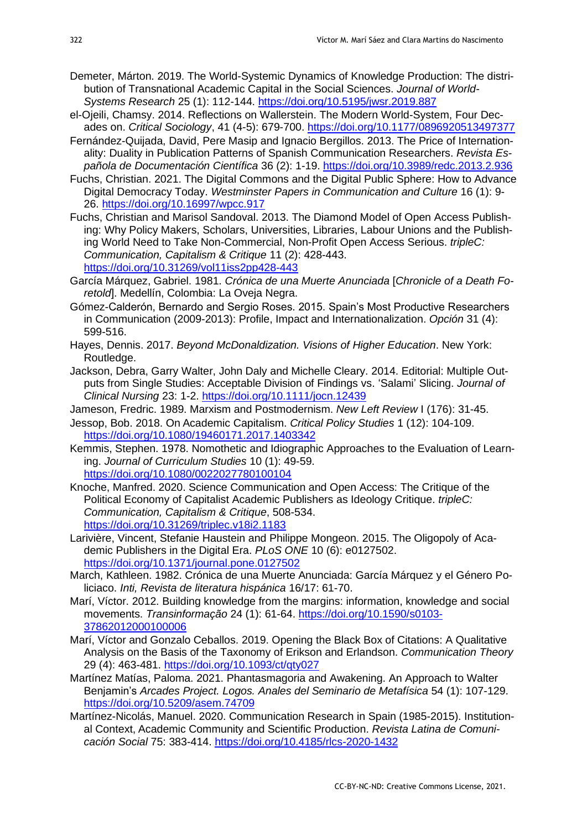- Demeter, Márton. 2019. The World-Systemic Dynamics of Knowledge Production: The distribution of Transnational Academic Capital in the Social Sciences. *Journal of World-Systems Research* 25 (1): 112-144. <https://doi.org/10.5195/jwsr.2019.887>
- el-Ojeili, Chamsy. 2014. Reflections on Wallerstein. The Modern World-System, Four Decades on. *Critical Sociology*, 41 (4-5): 679-700.<https://doi.org/10.1177/0896920513497377>
- Fernández-Quijada, David, Pere Masip and Ignacio Bergillos. 2013. The Price of Internationality: Duality in Publication Patterns of Spanish Communication Researchers. *Revista Española de Documentación Científica* 36 (2): 1-19. <https://doi.org/10.3989/redc.2013.2.936>
- Fuchs. Christian. 2021. The Digital Commons and the Digital Public Sphere: How to Advance Digital Democracy Today. *Westminster Papers in Communication and Culture* 16 (1): 9- 26.<https://doi.org/10.16997/wpcc.917>
- Fuchs, Christian and Marisol Sandoval. 2013. The Diamond Model of Open Access Publishing: Why Policy Makers, Scholars, Universities, Libraries, Labour Unions and the Publishing World Need to Take Non-Commercial, Non-Profit Open Access Serious. *tripleC: Communication, Capitalism & Critique* 11 (2): 428-443. <https://doi.org/10.31269/vol11iss2pp428-443>
- García Márquez, Gabriel. 1981. *Crónica de una Muerte Anunciada* [*Chronicle of a Death Foretold*]. Medellín, Colombia: La Oveja Negra.
- Gómez-Calderón, Bernardo and Sergio Roses. 2015. Spain's Most Productive Researchers in Communication (2009-2013): Profile, Impact and Internationalization. *Opción* 31 (4): 599-516.
- Hayes, Dennis. 2017. *Beyond McDonaldization. Visions of Higher Education*. New York: Routledge.
- Jackson, Debra, Garry Walter, John Daly and Michelle Cleary. 2014. Editorial: Multiple Outputs from Single Studies: Acceptable Division of Findings vs. 'Salami' Slicing. *Journal of Clinical Nursing* 23: 1-2. <https://doi.org/10.1111/jocn.12439>
- Jameson, Fredric. 1989. Marxism and Postmodernism. *New Left Review* I (176): 31-45.
- Jessop, Bob. 2018. On Academic Capitalism. *Critical Policy Studies* 1 (12): 104-109. <https://doi.org/10.1080/19460171.2017.1403342>
- Kemmis, Stephen. 1978. Nomothetic and Idiographic Approaches to the Evaluation of Learning. *Journal of Curriculum Studies* 10 (1): 49-59. <https://doi.org/10.1080/0022027780100104>
- Knoche, Manfred. 2020. Science Communication and Open Access: The Critique of the Political Economy of Capitalist Academic Publishers as Ideology Critique. *tripleC: Communication, Capitalism & Critique*, 508-534. <https://doi.org/10.31269/triplec.v18i2.1183>
- Larivière, Vincent, Stefanie Haustein and Philippe Mongeon. 2015. The Oligopoly of Academic Publishers in the Digital Era. *PLoS ONE* 10 (6): e0127502. <https://doi.org/10.1371/journal.pone.0127502>
- March, Kathleen. 1982. Crónica de una Muerte Anunciada: García Márquez y el Género Policiaco. *Inti, Revista de literatura hispánica* 16/17: 61-70.
- Marí, Víctor. 2012. Building knowledge from the margins: information, knowledge and social movements. *Transinformação* 24 (1): 61-64. [https://doi.org/10.1590/s0103-](https://doi.org/10.1590/s0103-37862012000100006) [37862012000100006](https://doi.org/10.1590/s0103-37862012000100006)
- Marí, Víctor and Gonzalo Ceballos. 2019. Opening the Black Box of Citations: A Qualitative Analysis on the Basis of the Taxonomy of Erikson and Erlandson. *Communication Theory* 29 (4): 463-481.<https://doi.org/10.1093/ct/qty027>
- Martínez Matías, Paloma. 2021. Phantasmagoria and Awakening. An Approach to Walter Benjamin's *Arcades Project. Logos. Anales del Seminario de Metafísica* 54 (1): 107-129. <https://doi.org/10.5209/asem.74709>
- Martínez-Nicolás, Manuel. 2020. Communication Research in Spain (1985-2015). Institutional Context, Academic Community and Scientific Production. *Revista Latina de Comunicación Social* 75: 383-414.<https://doi.org/10.4185/rlcs-2020-1432>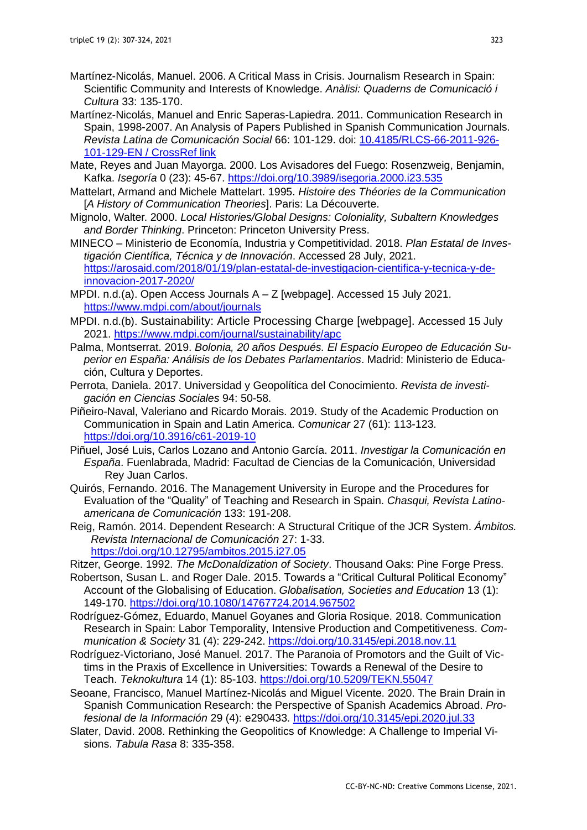- Martínez-Nicolás, Manuel. 2006. A Critical Mass in Crisis. Journalism Research in Spain: Scientific Community and Interests of Knowledge. *Anàlisi: Quaderns de Comunicació i Cultura* 33: 135-170.
- Martínez-Nicolás, Manuel and Enric Saperas-Lapiedra. 2011. Communication Research in Spain, 1998-2007. An Analysis of Papers Published in Spanish Communication Journals. *Revista Latina de Comunicación Social* 66: 101-129. doi: [10.4185/RLCS-66-2011-926-](http://dx.doi.org/10.4185/RLCS-66-2011-926-101-129-EN) [101-129-EN / CrossRef link](http://dx.doi.org/10.4185/RLCS-66-2011-926-101-129-EN)
- Mate, Reyes and Juan Mayorga. 2000. Los Avisadores del Fuego: Rosenzweig, Benjamin, Kafka. *Isegoría* 0 (23): 45-67.<https://doi.org/10.3989/isegoria.2000.i23.535>
- Mattelart, Armand and Michele Mattelart. 1995. *Histoire des Théories de la Communication*  [*A History of Communication Theories*]. Paris: La Découverte.
- Mignolo, Walter. 2000. *Local Histories/Global Designs: Coloniality, Subaltern Knowledges and Border Thinking*. Princeton: Princeton University Press.
- MINECO Ministerio de Economía, Industria y Competitividad. 2018. *Plan Estatal de Investigación Científica, Técnica y de Innovación*. Accessed 28 July, 2021. [https://arosaid.com/2018/01/19/plan-estatal-de-investigacion-cientifica-y-tecnica-y-de](https://arosaid.com/2018/01/19/plan-estatal-de-investigacion-cientifica-y-tecnica-y-de-innovacion-2017-2020/)[innovacion-2017-2020/](https://arosaid.com/2018/01/19/plan-estatal-de-investigacion-cientifica-y-tecnica-y-de-innovacion-2017-2020/)
- MPDI. n.d.(a). Open Access Journals A Z [webpage]. Accessed 15 July 2021. <https://www.mdpi.com/about/journals>
- MPDI. n.d.(b). Sustainability: Article Processing Charge [webpage]. Accessed 15 July 2021. <https://www.mdpi.com/journal/sustainability/apc>
- Palma, Montserrat. 2019. *Bolonia, 20 años Después. El Espacio Europeo de Educación Superior en España: Análisis de los Debates Parlamentarios*. Madrid: Ministerio de Educación, Cultura y Deportes.
- Perrota, Daniela. 2017. Universidad y Geopolítica del Conocimiento. *Revista de investigación en Ciencias Sociales* 94: 50-58.
- Piñeiro-Naval, Valeriano and Ricardo Morais. 2019. Study of the Academic Production on Communication in Spain and Latin America. *Comunicar* 27 (61): 113-123. <https://doi.org/10.3916/c61-2019-10>
- Piñuel, José Luis, Carlos Lozano and Antonio García. 2011. *Investigar la Comunicación en España*. Fuenlabrada, Madrid: Facultad de Ciencias de la Comunicación, Universidad Rey Juan Carlos.
- Quirós, Fernando. 2016. The Management University in Europe and the Procedures for Evaluation of the "Quality" of Teaching and Research in Spain. *Chasqui, Revista Latinoamericana de Comunicación* 133: 191-208.
- Reig, Ramón. 2014. Dependent Research: A Structural Critique of the JCR System. *Ámbitos. Revista Internacional de Comunicación* 27: 1-33. <https://doi.org/10.12795/ambitos.2015.i27.05>
- Ritzer, George. 1992. *The McDonaldization of Society*. Thousand Oaks: Pine Forge Press.
- Robertson, Susan L. and Roger Dale. 2015. Towards a "Critical Cultural Political Economy" Account of the Globalising of Education. *Globalisation, Societies and Education* 13 (1): 149-170. <https://doi.org/10.1080/14767724.2014.967502>
- Rodríguez-Gómez, Eduardo, Manuel Goyanes and Gloria Rosique. 2018. Communication Research in Spain: Labor Temporality, Intensive Production and Competitiveness. *Communication & Society* 31 (4): 229-242. <https://doi.org/10.3145/epi.2018.nov.11>
- Rodríguez-Victoriano, José Manuel. 2017. The Paranoia of Promotors and the Guilt of Victims in the Praxis of Excellence in Universities: Towards a Renewal of the Desire to Teach. *Teknokultura* 14 (1): 85-103. <https://doi.org/10.5209/TEKN.55047>
- Seoane, Francisco, Manuel Martínez-Nicolás and Miguel Vicente. 2020. The Brain Drain in Spanish Communication Research: the Perspective of Spanish Academics Abroad. *Profesional de la Información* 29 (4): e290433.<https://doi.org/10.3145/epi.2020.jul.33>
- Slater, David. 2008. Rethinking the Geopolitics of Knowledge: A Challenge to Imperial Visions. *Tabula Rasa* 8: 335-358.